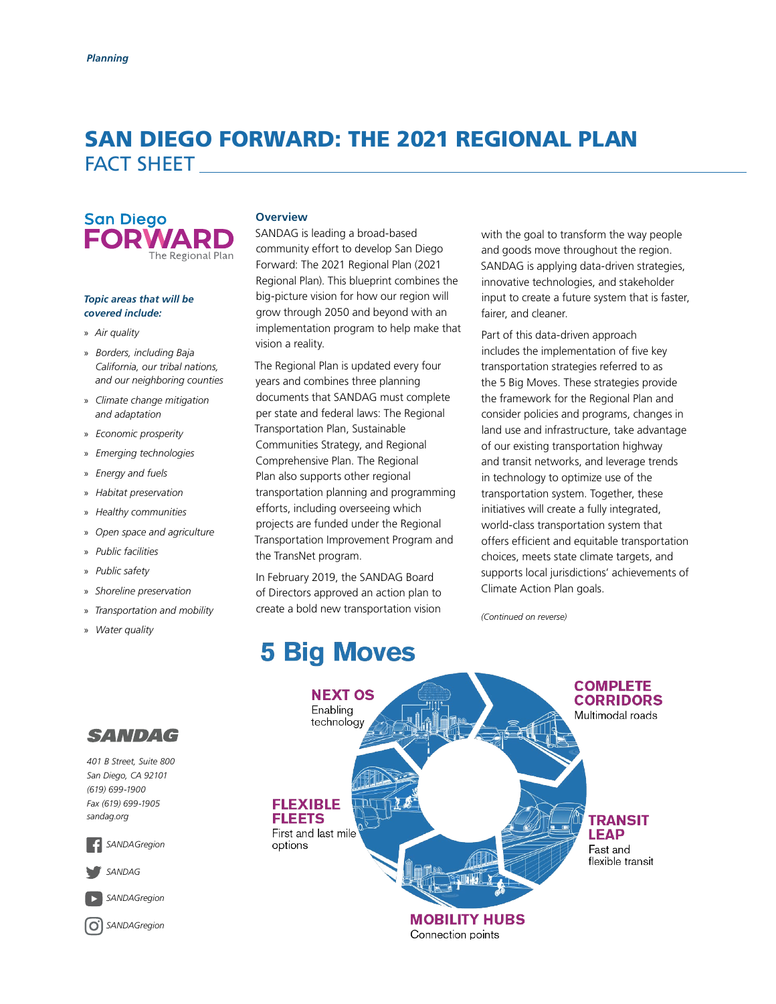## SAN DIEGO FORWARD: THE 2021 REGIONAL PLAN FACT SHEET



#### *Topic areas that will be covered include:*

- » *Air quality*
- » *Borders, including Baja California, our tribal nations, and our neighboring counties*
- » *Climate change mitigation and adaptation*
- » *Economic prosperity*
- » *Emerging technologies*
- » *Energy and fuels*
- » *Habitat preservation*
- » *Healthy communities*
- » *Open space and agriculture*
- » *Public facilities*
- » *Public safety*
- » *Shoreline preservation*
- » *Transportation and mobility*
- » *Water quality*

#### **Overview**

SANDAG is leading a broad-based community effort to develop San Diego Forward: The 2021 Regional Plan (2021 Regional Plan). This blueprint combines the big-picture vision for how our region will grow through 2050 and beyond with an implementation program to help make that vision a reality.

The Regional Plan is updated every four years and combines three planning documents that SANDAG must complete per state and federal laws: The Regional Transportation Plan, Sustainable Communities Strategy, and Regional Comprehensive Plan. The Regional Plan also supports other regional transportation planning and programming efforts, including overseeing which projects are funded under the Regional Transportation Improvement Program and the TransNet program.

In February 2019, the SANDAG Board of Directors approved an action plan to create a bold new transportation vision with the goal to transform the way people and goods move throughout the region. SANDAG is applying data-driven strategies, innovative technologies, and stakeholder input to create a future system that is faster, fairer, and cleaner.

Part of this data-driven approach includes the implementation of five key transportation strategies referred to as the 5 Big Moves. These strategies provide the framework for the Regional Plan and consider policies and programs, changes in land use and infrastructure, take advantage of our existing transportation highway and transit networks, and leverage trends in technology to optimize use of the transportation system. Together, these initiatives will create a fully integrated, world-class transportation system that offers efficient and equitable transportation choices, meets state climate targets, and supports local jurisdictions' achievements of Climate Action Plan goals.

*(Continued on reverse)*

# **5 Big Moves**





*401 B Street, Suite 800 San Diego, CA 92101 (619) 699-1900 Fax (619) 699-1905 [sandag.org](http://www.sandag.org)*



*[SANDAG](https://www.twitter.com/SANDAG)*

*[SANDAGregion](https://www.youtube.com/user/SANDAGREGION)*

*[SANDAGregion](http://www.instagram.com/sandagregion/?hl=en)*